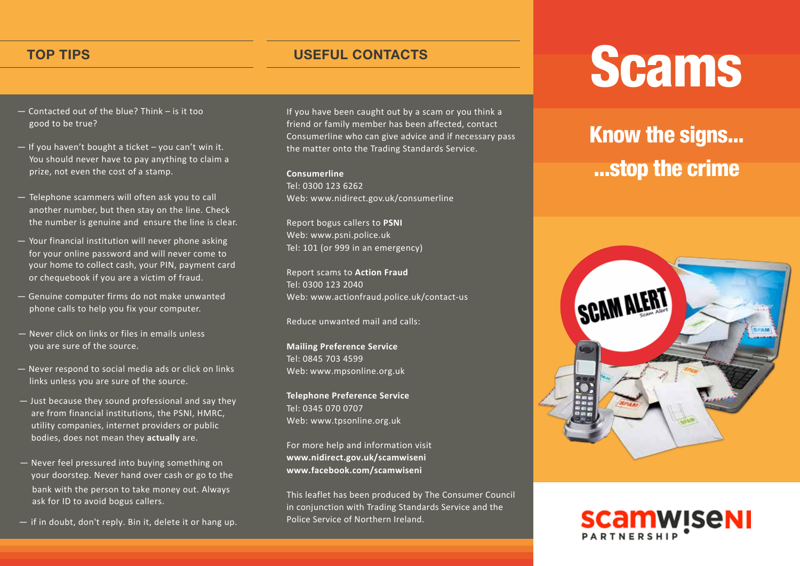- Contacted out of the blue? Think is it too good to be true?
- If you haven't bought a ticket you can't win it. You should never have to pay anything to claim a prize, not even the cost of a stamp.
- Telephone scammers will often ask you to call another number, but then stay on the line. Check the number is genuine and ensure the line is clear.
- Your financial institution will never phone asking for your online password and will never come to your home to collect cash, your PIN, payment card or chequebook if you are a victim of fraud.
- Genuine computer firms do not make unwanted phone calls to help you fix your computer.
- Never click on links or files in emails unless you are sure of the source.
- Never respond to social media ads or click on links links unless you are sure of the source.
- Just because they sound professional and say they are from financial institutions, the PSNI, HMRC, utility companies, internet providers or public bodies, does not mean they **actually** are.
- Never feel pressured into buying something on your doorstep. Never hand over cash or go to the bank with the person to take money out. Always ask for ID to avoid bogus callers.
- if in doubt, don't reply. Bin it, delete it or hang up.

If you have been caught out by a scam or you think a friend or family member has been affected, contact Consumerline who can give advice and if necessary pass the matter onto the Trading Standards Service.

**Consumerline** Tel: 0300 123 6262 Web: www.nidirect.gov.uk/consumerline

Report bogus callers to **PSNI** Web: www.psni.police.uk Tel: 101 (or 999 in an emergency)

Report scams to **Action Fraud** Tel: 0300 123 2040 Web: www.actionfraud.police.uk/contact-us

Reduce unwanted mail and calls:

**Mailing Preference Service** Tel: 0845 703 4599 Web: www.mpsonline.org.uk

**Telephone Preference Service** Tel: 0345 070 0707 Web: www.tpsonline.org.uk

For more help and information visit **www.nidirect.gov.uk/scamwiseni www.facebook.com/scamwiseni**

This leaflet has been produced by The Consumer Council in conjunction with Trading Standards Service and the Police Service of Northern Ireland.

## TOP TIPS
TOP TIPS
TOP TIPS
TOP TIPS
TOP TIPS
TOP TIPS
TOP TIPS
TOP TIPS
TOP TIPS
TOP TIPS
TOP TIPS
TOP TIPS
TOP TIPS
TOP TIPS
TOP TIPS
TOP TIPS
TOP TIPS
TOP TIPS
TOP TIPS
TOP TIPS
TOP TIPS
TOP TIPS
TOP TIPS
TOP TIPS

TOP T

## Know the signs... ...stop the crime